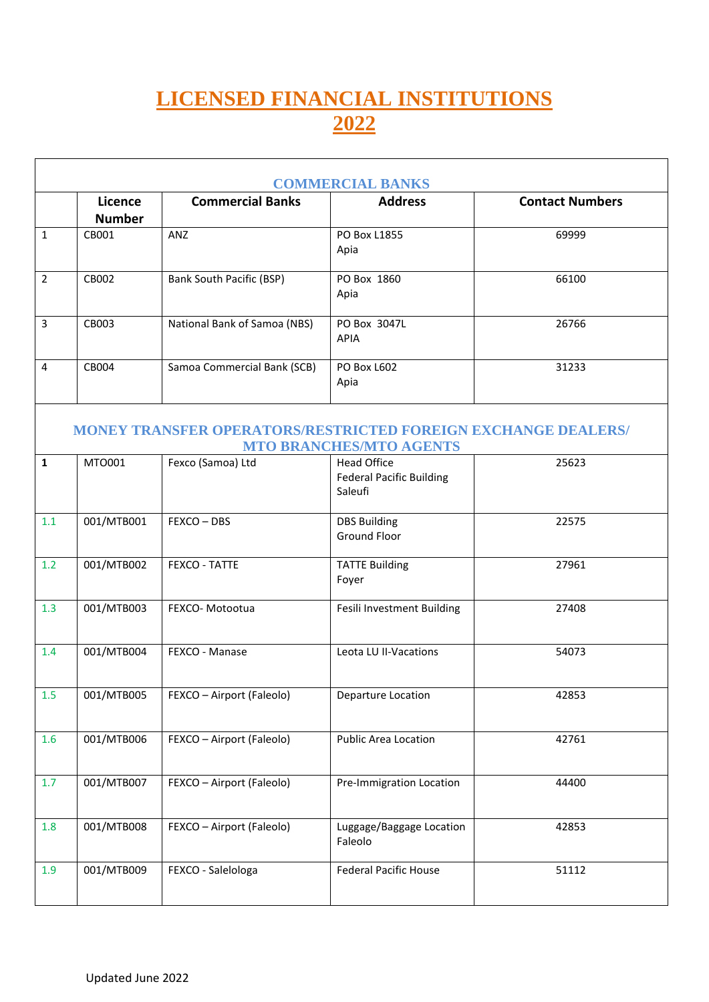## **LICENSED FINANCIAL INSTITUTIONS 2022**

| <b>COMMERCIAL BANKS</b> |                          |                                                                      |                                                                  |                        |  |
|-------------------------|--------------------------|----------------------------------------------------------------------|------------------------------------------------------------------|------------------------|--|
|                         | Licence<br><b>Number</b> | <b>Commercial Banks</b>                                              | <b>Address</b>                                                   | <b>Contact Numbers</b> |  |
| $\mathbf{1}$            | CB001                    | ANZ                                                                  | PO Box L1855<br>Apia                                             | 69999                  |  |
| $\overline{2}$          | CB002                    | Bank South Pacific (BSP)                                             | PO Box 1860<br>Apia                                              | 66100                  |  |
| 3                       | CB003                    | National Bank of Samoa (NBS)                                         | PO Box 3047L<br><b>APIA</b>                                      | 26766                  |  |
| 4                       | CB004                    | Samoa Commercial Bank (SCB)                                          | <b>PO Box L602</b><br>Apia                                       | 31233                  |  |
|                         |                          | <b>MONEY TRANSFER OPERATORS/RESTRICTED FOREIGN EXCHANGE DEALERS/</b> | <b>MTO BRANCHES/MTO AGENTS</b>                                   |                        |  |
| $\mathbf{1}$            | MT0001                   | Fexco (Samoa) Ltd                                                    | <b>Head Office</b><br><b>Federal Pacific Building</b><br>Saleufi | 25623                  |  |
| 1.1                     | 001/MTB001               | FEXCO-DBS                                                            | <b>DBS Building</b><br><b>Ground Floor</b>                       | 22575                  |  |
| 1.2                     | 001/MTB002               | FEXCO - TATTE                                                        | <b>TATTE Building</b><br>Foyer                                   | 27961                  |  |
| 1.3                     | 001/MTB003               | FEXCO- Motootua                                                      | Fesili Investment Building                                       | 27408                  |  |
| 1.4                     | 001/MTB004               | FEXCO - Manase                                                       | Leota LU II-Vacations                                            | 54073                  |  |
| 1.5                     | 001/MTB005               | FEXCO - Airport (Faleolo)                                            | Departure Location                                               | 42853                  |  |
| 1.6                     | 001/MTB006               | FEXCO - Airport (Faleolo)                                            | <b>Public Area Location</b>                                      | 42761                  |  |
| 1.7                     | 001/MTB007               | FEXCO - Airport (Faleolo)                                            | Pre-Immigration Location                                         | 44400                  |  |
| 1.8                     | 001/MTB008               | FEXCO - Airport (Faleolo)                                            | Luggage/Baggage Location<br>Faleolo                              | 42853                  |  |
| 1.9                     | 001/MTB009               | FEXCO - Salelologa                                                   | <b>Federal Pacific House</b>                                     | 51112                  |  |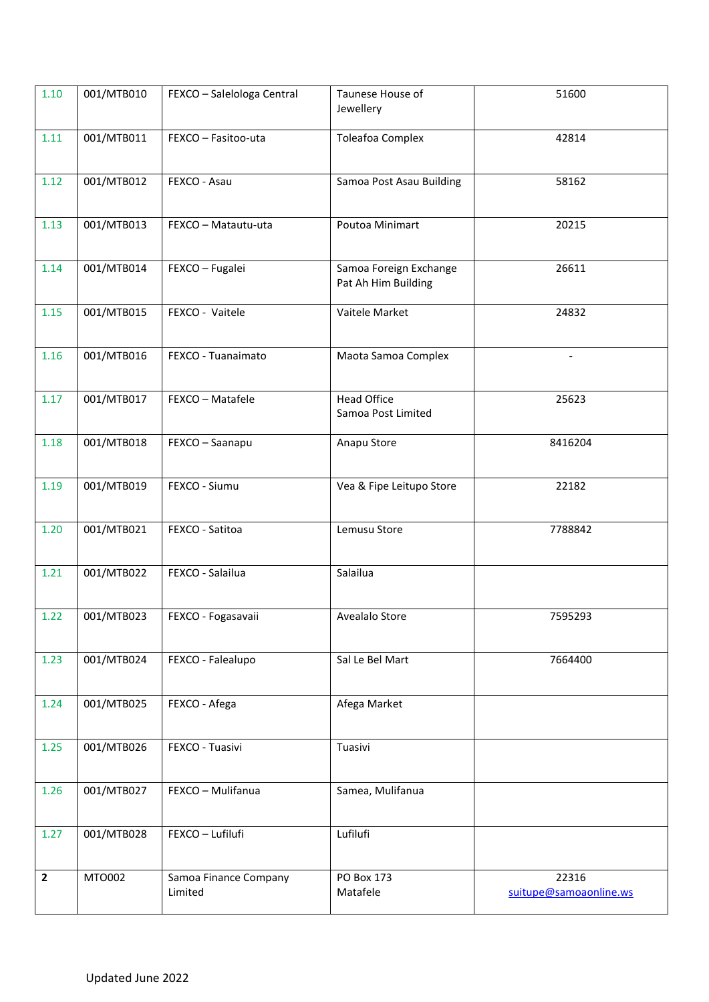| 1.10           | 001/MTB010 | FEXCO - Salelologa Central       | Taunese House of<br>Jewellery                 | 51600                           |
|----------------|------------|----------------------------------|-----------------------------------------------|---------------------------------|
| 1.11           | 001/MTB011 | FEXCO - Fasitoo-uta              | <b>Toleafoa Complex</b>                       | 42814                           |
| 1.12           | 001/MTB012 | FEXCO - Asau                     | Samoa Post Asau Building                      | 58162                           |
| 1.13           | 001/MTB013 | FEXCO - Matautu-uta              | Poutoa Minimart                               | 20215                           |
| 1.14           | 001/MTB014 | FEXCO - Fugalei                  | Samoa Foreign Exchange<br>Pat Ah Him Building | 26611                           |
| 1.15           | 001/MTB015 | FEXCO - Vaitele                  | Vaitele Market                                | 24832                           |
| 1.16           | 001/MTB016 | FEXCO - Tuanaimato               | Maota Samoa Complex                           |                                 |
| 1.17           | 001/MTB017 | FEXCO - Matafele                 | <b>Head Office</b><br>Samoa Post Limited      | 25623                           |
| 1.18           | 001/MTB018 | FEXCO - Saanapu                  | Anapu Store                                   | 8416204                         |
| 1.19           | 001/MTB019 | FEXCO - Siumu                    | Vea & Fipe Leitupo Store                      | 22182                           |
| 1.20           | 001/MTB021 | FEXCO - Satitoa                  | Lemusu Store                                  | 7788842                         |
| 1.21           | 001/MTB022 | FEXCO - Salailua                 | Salailua                                      |                                 |
| 1.22           | 001/MTB023 | FEXCO - Fogasavaii               | Avealalo Store                                | 7595293                         |
| 1.23           | 001/MTB024 | FEXCO - Falealupo                | Sal Le Bel Mart                               | 7664400                         |
| 1.24           | 001/MTB025 | FEXCO - Afega                    | Afega Market                                  |                                 |
| 1.25           | 001/MTB026 | FEXCO - Tuasivi                  | Tuasivi                                       |                                 |
| 1.26           | 001/MTB027 | FEXCO - Mulifanua                | Samea, Mulifanua                              |                                 |
| 1.27           | 001/MTB028 | FEXCO - Lufilufi                 | Lufilufi                                      |                                 |
| $\overline{2}$ | MTO002     | Samoa Finance Company<br>Limited | PO Box 173<br>Matafele                        | 22316<br>suitupe@samoaonline.ws |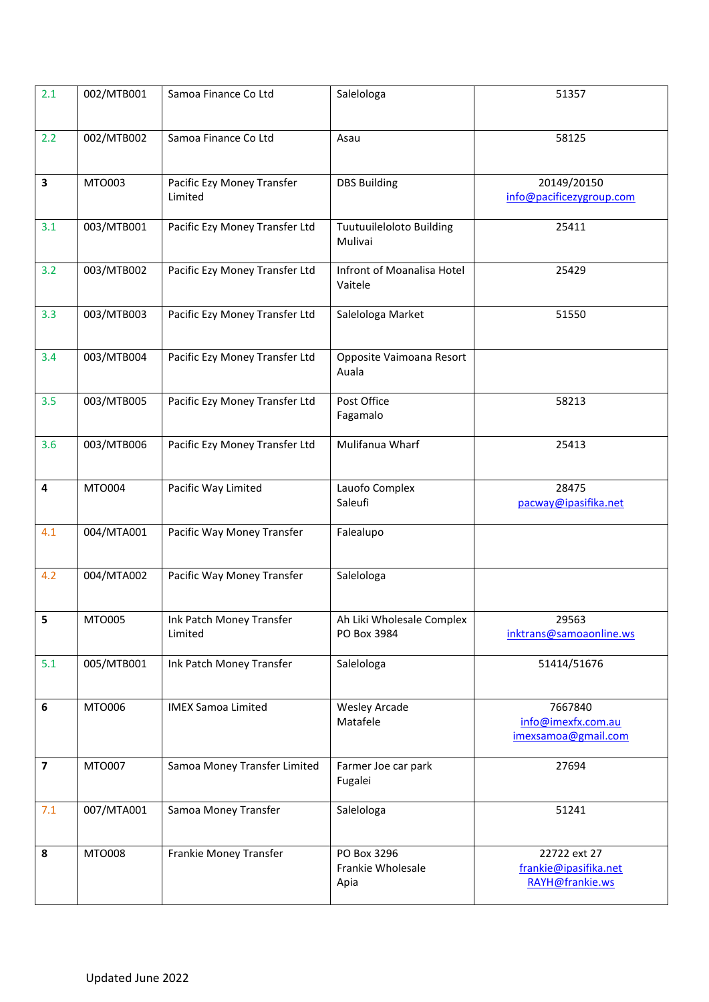| 2.1                     | 002/MTB001    | Samoa Finance Co Ltd                  | Salelologa                               | 51357                                                    |
|-------------------------|---------------|---------------------------------------|------------------------------------------|----------------------------------------------------------|
| 2.2                     | 002/MTB002    | Samoa Finance Co Ltd                  | Asau                                     | 58125                                                    |
| 3                       | MTO003        | Pacific Ezy Money Transfer<br>Limited | <b>DBS Building</b>                      | 20149/20150<br>info@pacificezygroup.com                  |
| 3.1                     | 003/MTB001    | Pacific Ezy Money Transfer Ltd        | Tuutuuileloloto Building<br>Mulivai      | 25411                                                    |
| 3.2                     | 003/MTB002    | Pacific Ezy Money Transfer Ltd        | Infront of Moanalisa Hotel<br>Vaitele    | 25429                                                    |
| 3.3                     | 003/MTB003    | Pacific Ezy Money Transfer Ltd        | Salelologa Market                        | 51550                                                    |
| 3.4                     | 003/MTB004    | Pacific Ezy Money Transfer Ltd        | Opposite Vaimoana Resort<br>Auala        |                                                          |
| 3.5                     | 003/MTB005    | Pacific Ezy Money Transfer Ltd        | Post Office<br>Fagamalo                  | 58213                                                    |
| 3.6                     | 003/MTB006    | Pacific Ezy Money Transfer Ltd        | Mulifanua Wharf                          | 25413                                                    |
| 4                       | MTO004        | Pacific Way Limited                   | Lauofo Complex<br>Saleufi                | 28475<br>pacway@ipasifika.net                            |
| 4.1                     | 004/MTA001    | Pacific Way Money Transfer            | Falealupo                                |                                                          |
| 4.2                     | 004/MTA002    | Pacific Way Money Transfer            | Salelologa                               |                                                          |
| 5                       | MTO005        | Ink Patch Money Transfer<br>Limited   | Ah Liki Wholesale Complex<br>PO Box 3984 | 29563<br>inktrans@samoaonline.ws                         |
| 5.1                     | 005/MTB001    | Ink Patch Money Transfer              | Salelologa                               | 51414/51676                                              |
| 6                       | MTO006        | <b>IMEX Samoa Limited</b>             | <b>Wesley Arcade</b><br>Matafele         | 7667840<br>info@imexfx.com.au<br>imexsamoa@gmail.com     |
| $\overline{\mathbf{z}}$ | MTO007        | Samoa Money Transfer Limited          | Farmer Joe car park<br>Fugalei           | 27694                                                    |
| 7.1                     | 007/MTA001    | Samoa Money Transfer                  | Salelologa                               | 51241                                                    |
| 8                       | <b>MTO008</b> | Frankie Money Transfer                | PO Box 3296<br>Frankie Wholesale<br>Apia | 22722 ext 27<br>frankie@ipasifika.net<br>RAYH@frankie.ws |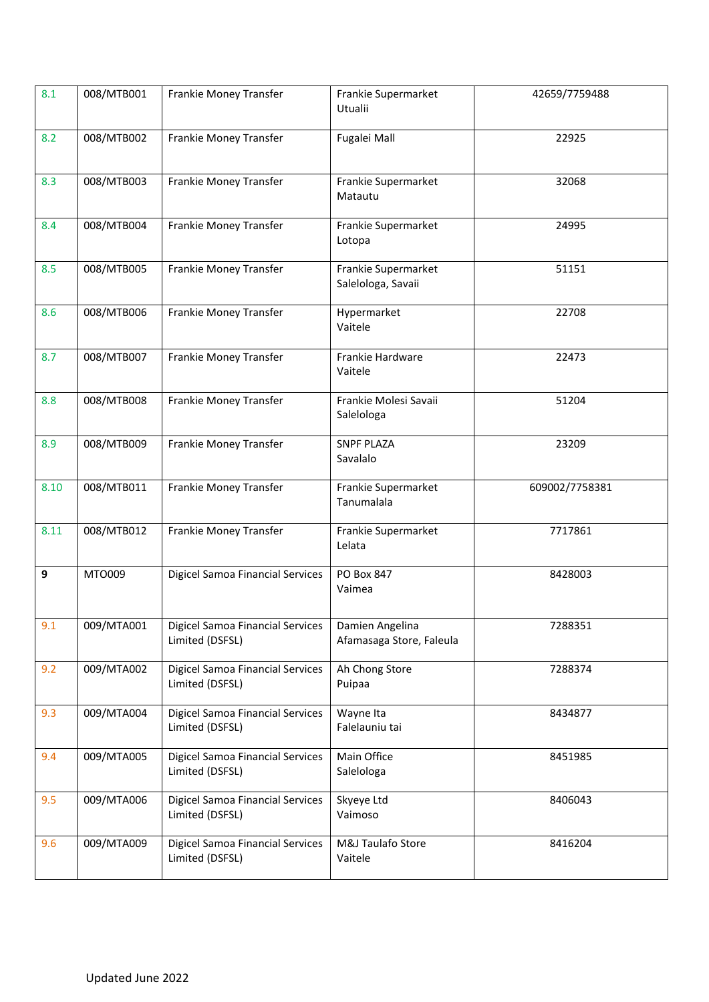| 8.1  | 008/MTB001 | Frankie Money Transfer                                     | Frankie Supermarket<br>Utualii              | 42659/7759488  |
|------|------------|------------------------------------------------------------|---------------------------------------------|----------------|
| 8.2  | 008/MTB002 | Frankie Money Transfer                                     | Fugalei Mall                                | 22925          |
| 8.3  | 008/MTB003 | Frankie Money Transfer                                     | Frankie Supermarket<br>Matautu              | 32068          |
| 8.4  | 008/MTB004 | Frankie Money Transfer                                     | Frankie Supermarket<br>Lotopa               | 24995          |
| 8.5  | 008/MTB005 | Frankie Money Transfer                                     | Frankie Supermarket<br>Salelologa, Savaii   | 51151          |
| 8.6  | 008/MTB006 | Frankie Money Transfer                                     | Hypermarket<br>Vaitele                      | 22708          |
| 8.7  | 008/MTB007 | Frankie Money Transfer                                     | Frankie Hardware<br>Vaitele                 | 22473          |
| 8.8  | 008/MTB008 | Frankie Money Transfer                                     | Frankie Molesi Savaii<br>Salelologa         | 51204          |
| 8.9  | 008/MTB009 | Frankie Money Transfer                                     | <b>SNPF PLAZA</b><br>Savalalo               | 23209          |
| 8.10 | 008/MTB011 | Frankie Money Transfer                                     | Frankie Supermarket<br>Tanumalala           | 609002/7758381 |
| 8.11 | 008/MTB012 | Frankie Money Transfer                                     | Frankie Supermarket<br>Lelata               | 7717861        |
| 9    | MTO009     | <b>Digicel Samoa Financial Services</b>                    | PO Box 847<br>Vaimea                        | 8428003        |
| 9.1  | 009/MTA001 | <b>Digicel Samoa Financial Services</b><br>Limited (DSFSL) | Damien Angelina<br>Afamasaga Store, Faleula | 7288351        |
| 9.2  | 009/MTA002 | <b>Digicel Samoa Financial Services</b><br>Limited (DSFSL) | Ah Chong Store<br>Puipaa                    | 7288374        |
| 9.3  | 009/MTA004 | <b>Digicel Samoa Financial Services</b><br>Limited (DSFSL) | Wayne Ita<br>Falelauniu tai                 | 8434877        |
| 9.4  | 009/MTA005 | <b>Digicel Samoa Financial Services</b><br>Limited (DSFSL) | Main Office<br>Salelologa                   | 8451985        |
| 9.5  | 009/MTA006 | <b>Digicel Samoa Financial Services</b><br>Limited (DSFSL) | Skyeye Ltd<br>Vaimoso                       | 8406043        |
| 9.6  | 009/MTA009 | <b>Digicel Samoa Financial Services</b><br>Limited (DSFSL) | M&J Taulafo Store<br>Vaitele                | 8416204        |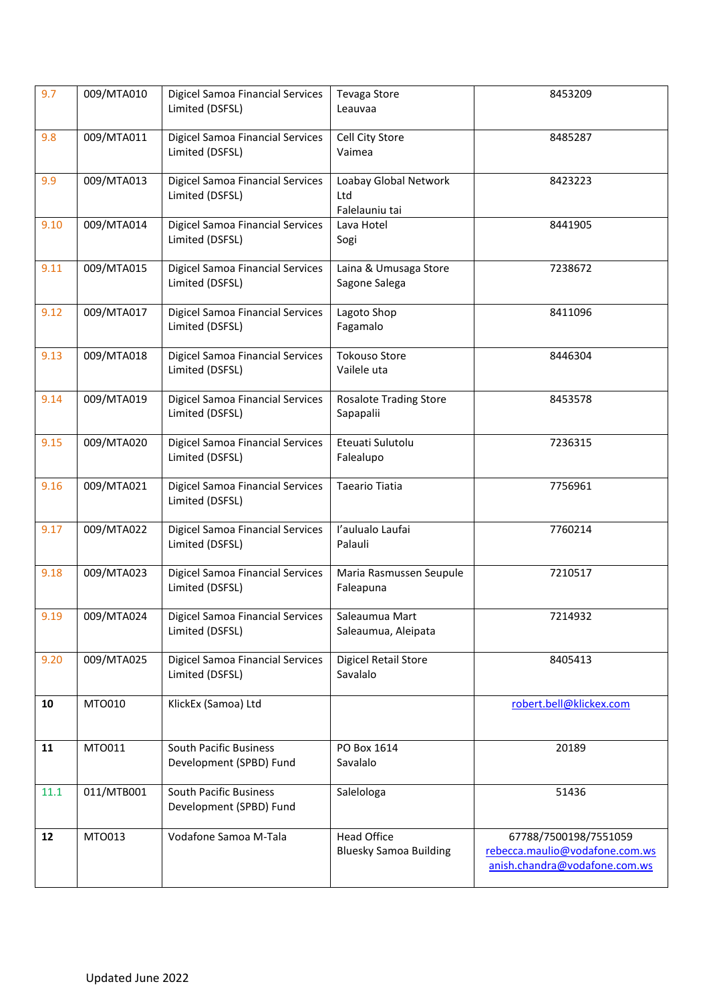| 9.7  | 009/MTA010 | <b>Digicel Samoa Financial Services</b><br>Limited (DSFSL) | Tevaga Store<br>Leauvaa                             | 8453209                                                                                  |
|------|------------|------------------------------------------------------------|-----------------------------------------------------|------------------------------------------------------------------------------------------|
| 9.8  | 009/MTA011 | <b>Digicel Samoa Financial Services</b><br>Limited (DSFSL) | Cell City Store<br>Vaimea                           | 8485287                                                                                  |
| 9.9  | 009/MTA013 | <b>Digicel Samoa Financial Services</b><br>Limited (DSFSL) | Loabay Global Network<br>Ltd<br>Falelauniu tai      | 8423223                                                                                  |
| 9.10 | 009/MTA014 | <b>Digicel Samoa Financial Services</b><br>Limited (DSFSL) | Lava Hotel<br>Sogi                                  | 8441905                                                                                  |
| 9.11 | 009/MTA015 | <b>Digicel Samoa Financial Services</b><br>Limited (DSFSL) | Laina & Umusaga Store<br>Sagone Salega              | 7238672                                                                                  |
| 9.12 | 009/MTA017 | <b>Digicel Samoa Financial Services</b><br>Limited (DSFSL) | Lagoto Shop<br>Fagamalo                             | 8411096                                                                                  |
| 9.13 | 009/MTA018 | <b>Digicel Samoa Financial Services</b><br>Limited (DSFSL) | <b>Tokouso Store</b><br>Vailele uta                 | 8446304                                                                                  |
| 9.14 | 009/MTA019 | <b>Digicel Samoa Financial Services</b><br>Limited (DSFSL) | <b>Rosalote Trading Store</b><br>Sapapalii          | 8453578                                                                                  |
| 9.15 | 009/MTA020 | Digicel Samoa Financial Services<br>Limited (DSFSL)        | Eteuati Sulutolu<br>Falealupo                       | 7236315                                                                                  |
| 9.16 | 009/MTA021 | <b>Digicel Samoa Financial Services</b><br>Limited (DSFSL) | Taeario Tiatia                                      | 7756961                                                                                  |
| 9.17 | 009/MTA022 | <b>Digicel Samoa Financial Services</b><br>Limited (DSFSL) | l'aulualo Laufai<br>Palauli                         | 7760214                                                                                  |
| 9.18 | 009/MTA023 | <b>Digicel Samoa Financial Services</b><br>Limited (DSFSL) | Maria Rasmussen Seupule<br>Faleapuna                | 7210517                                                                                  |
| 9.19 | 009/MTA024 | Digicel Samoa Financial Services<br>Limited (DSFSL)        | Saleaumua Mart<br>Saleaumua, Aleipata               | 7214932                                                                                  |
| 9.20 | 009/MTA025 | <b>Digicel Samoa Financial Services</b><br>Limited (DSFSL) | Digicel Retail Store<br>Savalalo                    | 8405413                                                                                  |
| 10   | MT0010     | KlickEx (Samoa) Ltd                                        |                                                     | robert.bell@klickex.com                                                                  |
| 11   | MT0011     | <b>South Pacific Business</b><br>Development (SPBD) Fund   | PO Box 1614<br>Savalalo                             | 20189                                                                                    |
| 11.1 | 011/MTB001 | South Pacific Business<br>Development (SPBD) Fund          | Salelologa                                          | 51436                                                                                    |
| 12   | MT0013     | Vodafone Samoa M-Tala                                      | <b>Head Office</b><br><b>Bluesky Samoa Building</b> | 67788/7500198/7551059<br>rebecca.maulio@vodafone.com.ws<br>anish.chandra@vodafone.com.ws |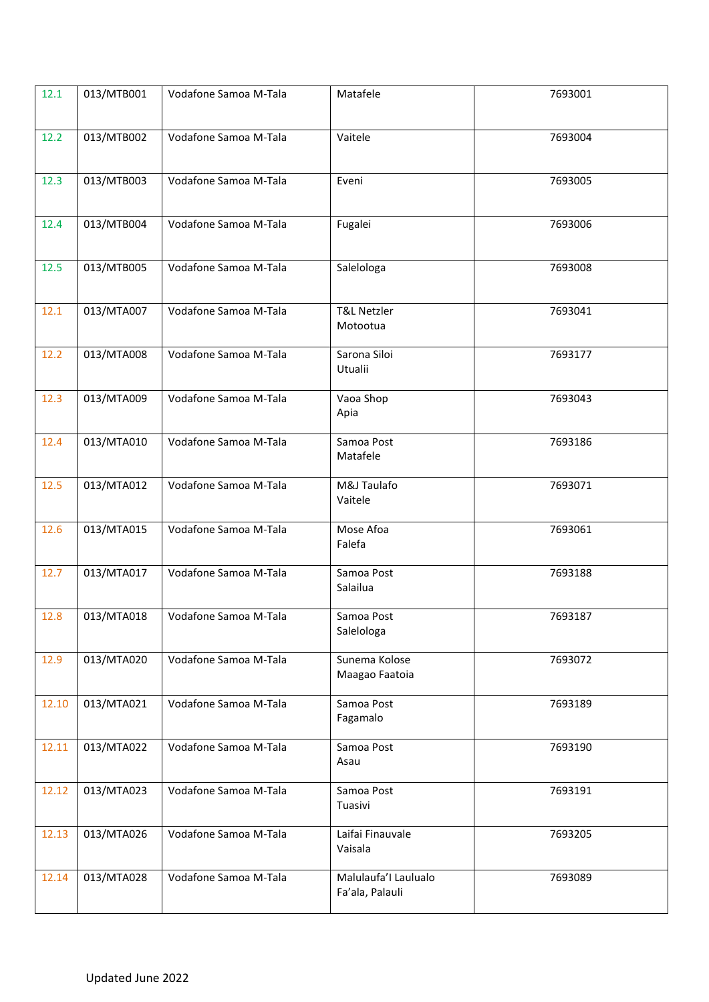| 12.1  | 013/MTB001 | Vodafone Samoa M-Tala | Matafele                           | 7693001 |
|-------|------------|-----------------------|------------------------------------|---------|
|       |            |                       |                                    |         |
| 12.2  | 013/MTB002 | Vodafone Samoa M-Tala | Vaitele                            | 7693004 |
|       |            |                       |                                    |         |
| 12.3  | 013/MTB003 | Vodafone Samoa M-Tala | Eveni                              | 7693005 |
|       |            |                       |                                    |         |
| 12.4  | 013/MTB004 | Vodafone Samoa M-Tala | Fugalei                            | 7693006 |
|       |            |                       |                                    |         |
|       |            |                       |                                    |         |
| 12.5  | 013/MTB005 | Vodafone Samoa M-Tala | Salelologa                         | 7693008 |
|       |            |                       |                                    |         |
| 12.1  | 013/MTA007 | Vodafone Samoa M-Tala | <b>T&amp;L Netzler</b><br>Motootua | 7693041 |
|       |            |                       |                                    |         |
| 12.2  | 013/MTA008 | Vodafone Samoa M-Tala | Sarona Siloi                       | 7693177 |
|       |            |                       | Utualii                            |         |
| 12.3  | 013/MTA009 | Vodafone Samoa M-Tala | Vaoa Shop                          | 7693043 |
|       |            |                       | Apia                               |         |
| 12.4  | 013/MTA010 | Vodafone Samoa M-Tala | Samoa Post                         | 7693186 |
|       |            |                       | Matafele                           |         |
| 12.5  | 013/MTA012 | Vodafone Samoa M-Tala | M&J Taulafo                        | 7693071 |
|       |            |                       | Vaitele                            |         |
| 12.6  | 013/MTA015 | Vodafone Samoa M-Tala | Mose Afoa                          | 7693061 |
|       |            |                       | Falefa                             |         |
| 12.7  | 013/MTA017 | Vodafone Samoa M-Tala | Samoa Post                         | 7693188 |
|       |            |                       | Salailua                           |         |
| 12.8  | 013/MTA018 | Vodafone Samoa M-Tala | Samoa Post                         | 7693187 |
|       |            |                       | Salelologa                         |         |
| 12.9  | 013/MTA020 | Vodafone Samoa M-Tala | Sunema Kolose                      | 7693072 |
|       |            |                       | Maagao Faatoia                     |         |
|       |            |                       |                                    |         |
| 12.10 | 013/MTA021 | Vodafone Samoa M-Tala | Samoa Post<br>Fagamalo             | 7693189 |
|       |            |                       |                                    |         |
| 12.11 | 013/MTA022 | Vodafone Samoa M-Tala | Samoa Post<br>Asau                 | 7693190 |
|       |            |                       |                                    |         |
| 12.12 | 013/MTA023 | Vodafone Samoa M-Tala | Samoa Post                         | 7693191 |
|       |            |                       | Tuasivi                            |         |
| 12.13 | 013/MTA026 | Vodafone Samoa M-Tala | Laifai Finauvale                   | 7693205 |
|       |            |                       | Vaisala                            |         |
| 12.14 | 013/MTA028 | Vodafone Samoa M-Tala | Malulaufa'l Laulualo               | 7693089 |
|       |            |                       | Fa'ala, Palauli                    |         |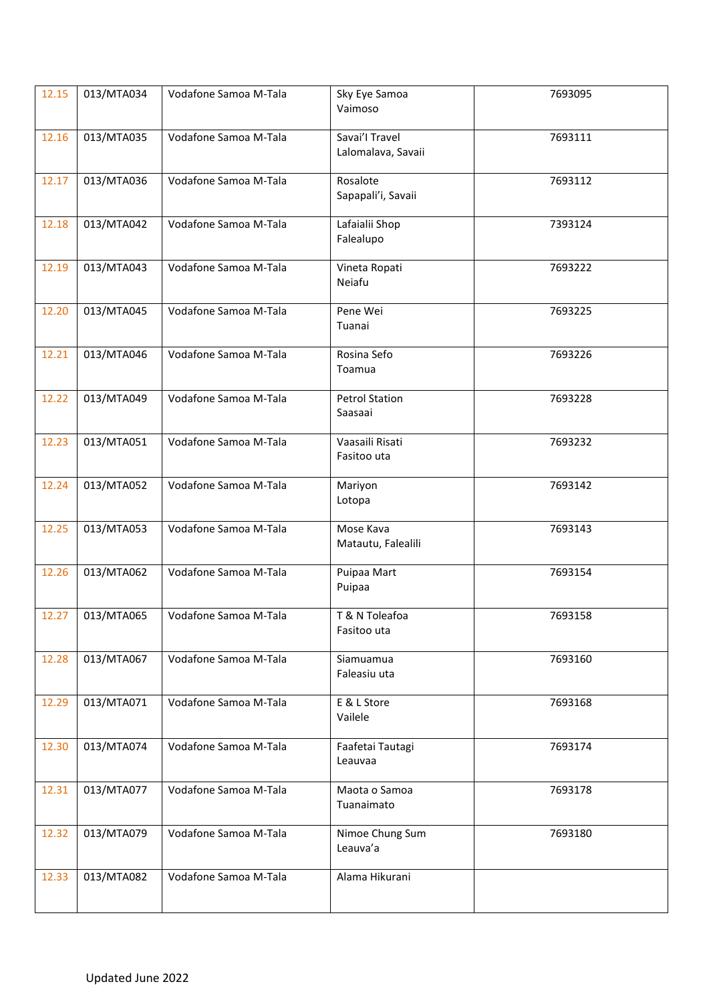| 12.15 | 013/MTA034 | Vodafone Samoa M-Tala | Sky Eye Samoa<br>Vaimoso             | 7693095 |
|-------|------------|-----------------------|--------------------------------------|---------|
| 12.16 | 013/MTA035 | Vodafone Samoa M-Tala | Savai'l Travel<br>Lalomalava, Savaii | 7693111 |
| 12.17 | 013/MTA036 | Vodafone Samoa M-Tala | Rosalote<br>Sapapali'i, Savaii       | 7693112 |
| 12.18 | 013/MTA042 | Vodafone Samoa M-Tala | Lafaialii Shop<br>Falealupo          | 7393124 |
| 12.19 | 013/MTA043 | Vodafone Samoa M-Tala | Vineta Ropati<br>Neiafu              | 7693222 |
| 12.20 | 013/MTA045 | Vodafone Samoa M-Tala | Pene Wei<br>Tuanai                   | 7693225 |
| 12.21 | 013/MTA046 | Vodafone Samoa M-Tala | Rosina Sefo<br>Toamua                | 7693226 |
| 12.22 | 013/MTA049 | Vodafone Samoa M-Tala | <b>Petrol Station</b><br>Saasaai     | 7693228 |
| 12.23 | 013/MTA051 | Vodafone Samoa M-Tala | Vaasaili Risati<br>Fasitoo uta       | 7693232 |
| 12.24 | 013/MTA052 | Vodafone Samoa M-Tala | Mariyon<br>Lotopa                    | 7693142 |
| 12.25 | 013/MTA053 | Vodafone Samoa M-Tala | Mose Kava<br>Matautu, Falealili      | 7693143 |
| 12.26 | 013/MTA062 | Vodafone Samoa M-Tala | Puipaa Mart<br>Puipaa                | 7693154 |
| 12.27 | 013/MTA065 | Vodafone Samoa M-Tala | T & N Toleafoa<br>Fasitoo uta        | 7693158 |
| 12.28 | 013/MTA067 | Vodafone Samoa M-Tala | Siamuamua<br>Faleasiu uta            | 7693160 |
| 12.29 | 013/MTA071 | Vodafone Samoa M-Tala | E & L Store<br>Vailele               | 7693168 |
| 12.30 | 013/MTA074 | Vodafone Samoa M-Tala | Faafetai Tautagi<br>Leauvaa          | 7693174 |
| 12.31 | 013/MTA077 | Vodafone Samoa M-Tala | Maota o Samoa<br>Tuanaimato          | 7693178 |
| 12.32 | 013/MTA079 | Vodafone Samoa M-Tala | Nimoe Chung Sum<br>Leauva'a          | 7693180 |
| 12.33 | 013/MTA082 | Vodafone Samoa M-Tala | Alama Hikurani                       |         |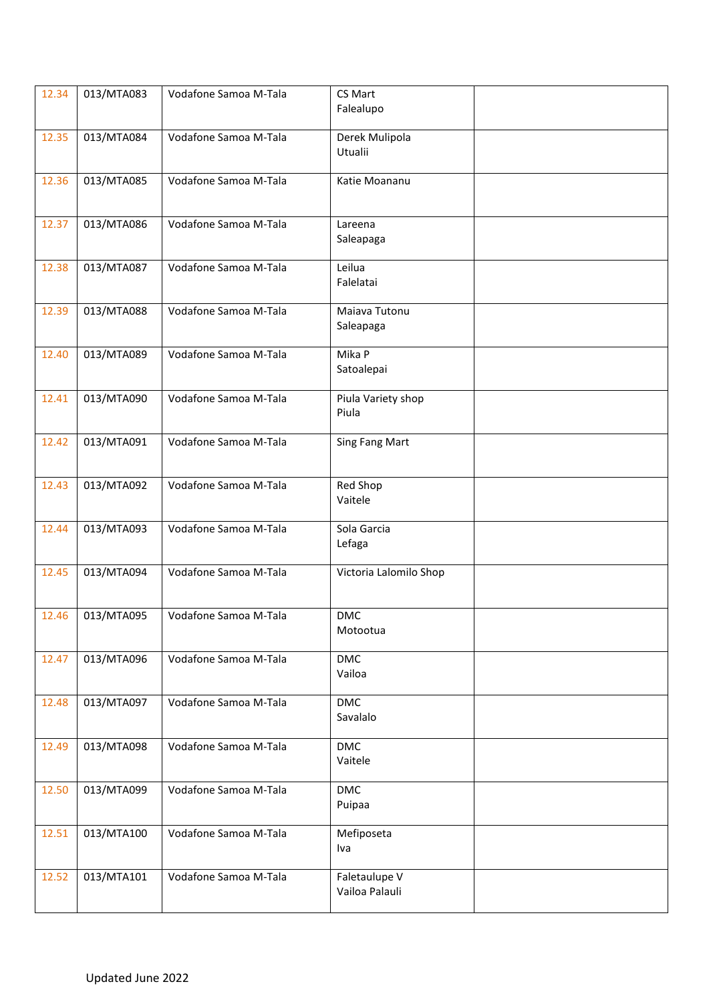| 12.34 | 013/MTA083 | Vodafone Samoa M-Tala | CS Mart<br>Falealupo            |  |
|-------|------------|-----------------------|---------------------------------|--|
| 12.35 | 013/MTA084 | Vodafone Samoa M-Tala | Derek Mulipola<br>Utualii       |  |
| 12.36 | 013/MTA085 | Vodafone Samoa M-Tala | Katie Moananu                   |  |
| 12.37 | 013/MTA086 | Vodafone Samoa M-Tala | Lareena<br>Saleapaga            |  |
| 12.38 | 013/MTA087 | Vodafone Samoa M-Tala | Leilua<br>Falelatai             |  |
| 12.39 | 013/MTA088 | Vodafone Samoa M-Tala | Maiava Tutonu<br>Saleapaga      |  |
| 12.40 | 013/MTA089 | Vodafone Samoa M-Tala | Mika P<br>Satoalepai            |  |
| 12.41 | 013/MTA090 | Vodafone Samoa M-Tala | Piula Variety shop<br>Piula     |  |
| 12.42 | 013/MTA091 | Vodafone Samoa M-Tala | Sing Fang Mart                  |  |
| 12.43 | 013/MTA092 | Vodafone Samoa M-Tala | Red Shop<br>Vaitele             |  |
| 12.44 | 013/MTA093 | Vodafone Samoa M-Tala | Sola Garcia<br>Lefaga           |  |
| 12.45 | 013/MTA094 | Vodafone Samoa M-Tala | Victoria Lalomilo Shop          |  |
| 12.46 | 013/MTA095 | Vodafone Samoa M-Tala | <b>DMC</b><br>Motootua          |  |
| 12.47 | 013/MTA096 | Vodafone Samoa M-Tala | <b>DMC</b><br>Vailoa            |  |
| 12.48 | 013/MTA097 | Vodafone Samoa M-Tala | $\mathsf{DMC}$<br>Savalalo      |  |
| 12.49 | 013/MTA098 | Vodafone Samoa M-Tala | <b>DMC</b><br>Vaitele           |  |
| 12.50 | 013/MTA099 | Vodafone Samoa M-Tala | <b>DMC</b><br>Puipaa            |  |
| 12.51 | 013/MTA100 | Vodafone Samoa M-Tala | Mefiposeta<br>Iva               |  |
| 12.52 | 013/MTA101 | Vodafone Samoa M-Tala | Faletaulupe V<br>Vailoa Palauli |  |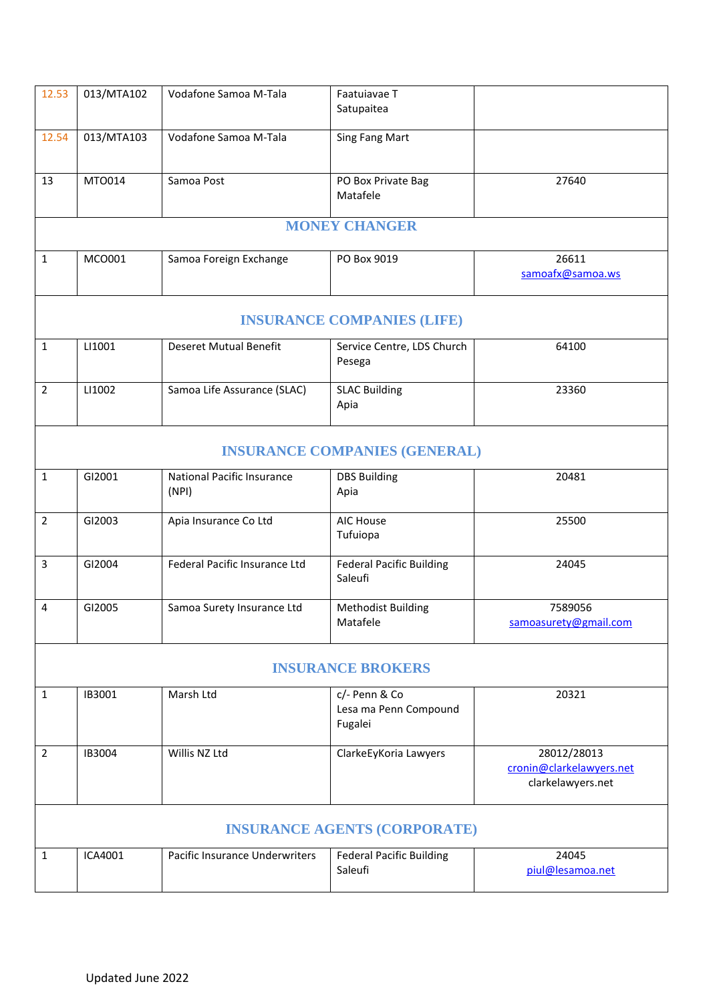| 12.53          | 013/MTA102 | Vodafone Samoa M-Tala                      | Faatuiavae T<br>Satupaitea                        |                                                              |
|----------------|------------|--------------------------------------------|---------------------------------------------------|--------------------------------------------------------------|
| 12.54          | 013/MTA103 | Vodafone Samoa M-Tala                      | <b>Sing Fang Mart</b>                             |                                                              |
| 13             | MT0014     | Samoa Post                                 | PO Box Private Bag<br>Matafele                    | 27640                                                        |
|                |            |                                            | <b>MONEY CHANGER</b>                              |                                                              |
| 1              | MCO001     | Samoa Foreign Exchange                     | PO Box 9019                                       | 26611<br>samoafx@samoa.ws                                    |
|                |            |                                            | <b>INSURANCE COMPANIES (LIFE)</b>                 |                                                              |
| $\mathbf{1}$   | LI1001     | <b>Deseret Mutual Benefit</b>              | Service Centre, LDS Church<br>Pesega              | 64100                                                        |
| $\overline{2}$ | LI1002     | Samoa Life Assurance (SLAC)                | <b>SLAC Building</b><br>Apia                      | 23360                                                        |
|                |            |                                            | <b>INSURANCE COMPANIES (GENERAL)</b>              |                                                              |
| $\mathbf{1}$   | GI2001     | <b>National Pacific Insurance</b><br>(NPI) | <b>DBS Building</b><br>Apia                       | 20481                                                        |
| $\overline{2}$ | GI2003     | Apia Insurance Co Ltd                      | AIC House<br>Tufuiopa                             | 25500                                                        |
| 3              | GI2004     | Federal Pacific Insurance Ltd              | <b>Federal Pacific Building</b><br>Saleufi        | 24045                                                        |
| 4              | GI2005     | Samoa Surety Insurance Ltd                 | <b>Methodist Building</b><br>Matafele             | 7589056<br>samoasurety@gmail.com                             |
|                |            |                                            | <b>INSURANCE BROKERS</b>                          |                                                              |
| $\mathbf{1}$   | IB3001     | Marsh Ltd                                  | c/- Penn & Co<br>Lesa ma Penn Compound<br>Fugalei | 20321                                                        |
| $\overline{2}$ | IB3004     | Willis NZ Ltd                              | ClarkeEyKoria Lawyers                             | 28012/28013<br>cronin@clarkelawyers.net<br>clarkelawyers.net |
|                |            |                                            | <b>INSURANCE AGENTS (CORPORATE)</b>               |                                                              |
| 1              | ICA4001    | Pacific Insurance Underwriters             | <b>Federal Pacific Building</b><br>Saleufi        | 24045<br>piul@lesamoa.net                                    |